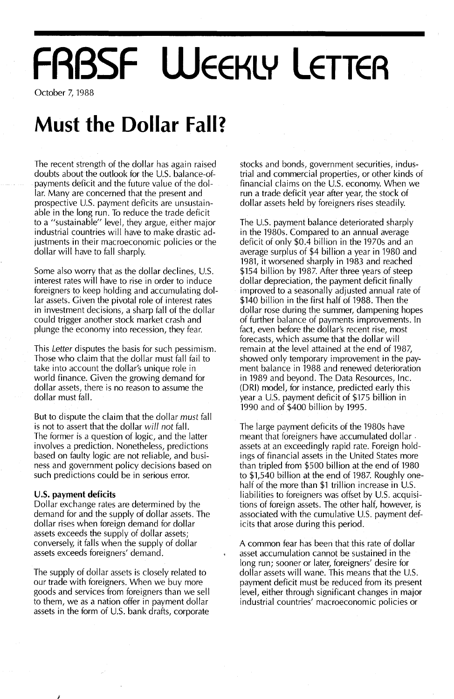# **FRBSF WEEKLY LETTER**

October 7, 1988

### **Must the Dollar Fall?**

The recent strength of the dollar has again raised doubts about the outlook for the U.S. balance-ofpayments deficit and the future value of the dollar. Many are concerned that the present and prospective U.S. payment deficits are unsustainable in the long run. To reduce the trade deficit to a "sustainable" level, they argue, either major industrial countries will have to make drastic adjustments in their macroeconomic policies or the dollar will have to fall sharply.

Some also worry that as the dollar declines, U.S. interest rates will have to rise in order to induce foreigners to keep holding and accumulating dollar assets. Given the pivotal role of interest rates in investment decisions, a sharp fall of the dollar could trigger another stock market crash and plunge the economy into recession, they fear.

This Letter disputes the basis for such pessimism. Those who claim that the dollar must fall fail to take into account the dollar's unique role in world finance. Given the growing demand for dollar assets, there is no reason to assume the dollar must fall.

But to dispute the claim that the dollar must fall is not to assert that the dollar *wi/I not* fall. The former is a question of logic, and the latter involves a prediction. Nonetheless, predictions based on faulty logic are not reliable, and business and government policy decisions based on such predictions could be in serious error.

#### **u.s. payment deficits**

j

Dollar exchange rates are determined by the demand for and the supply of dollar assets. The dollar rises when foreign demand for dollar assets exceeds the supply of dollar assets; conversely, it falls when the supply of dollar assets exceeds foreigners' demand.

The supply of dollar assets is closely related to our trade with foreigners. When we buy more goods and services from foreigners than we sell to them, we as a nation offer in payment dollar assets in the form of U.S. bank drafts, corporate

stocks and bonds, government securities, industrial and commercial properties, or other kinds of financial claims on the U.S. economy. When we run a trade deficit year after year, the stock of dollar assets held by foreigners rises steadily.

The U.s. payment balance deteriorated sharply in the 1980s. Compared to an annual average deficit of only \$0.4 billion in the 1970s and an average surplus of \$4 billion a year in 1980 and 1981, it worsened sharply in 1983 and reached \$154 billion by 1987. After three years of steep dollar depreciation, the payment deficit finally improved to a seasonally adjusted annual rate of \$140 billion in the first half of 1988. Then the dollar rose during the summer, dampening hopes of further balance of payments improvements. In fact, even before the dollar's recent rise, most forecasts, which assume that the dollar will remain at the level attained at the end of 1987, showed only temporary improvement in the payment balance in 1988 and renewed deterioration in 1989 and beyond. The Data Resources, Inc. (DR!) model, for instance, predicted early this year a U.S. payment deficit of \$175 billion in 1990 and of \$400 billion by 1995.

The large payment deficits of the 1980s have meant that foreigners have accumulated dollar. assets at an exceedingly rapid rate. Foreign holdings of financial assets in the United States more than tripled from \$500 billion at the end of 1980 to \$1,540 billion at the end of 1987. Roughly onehalf of the more than \$1 trillion increase in U.S. liabilities to foreigners was offset by U.S. acquisitions of foreign assets. The other half, however, is associated with the cumulative U.s. payment deficits that arose during this period.

A common fear has been that this rate of dollar asset accumulation cannot be sustained in the long run; sooner or later, foreigners' desire for dollar assets will wane. This means that the U.S. payment deficit must be reduced from its present level, either through significant changes in major industrial countries' macroeconomic policies or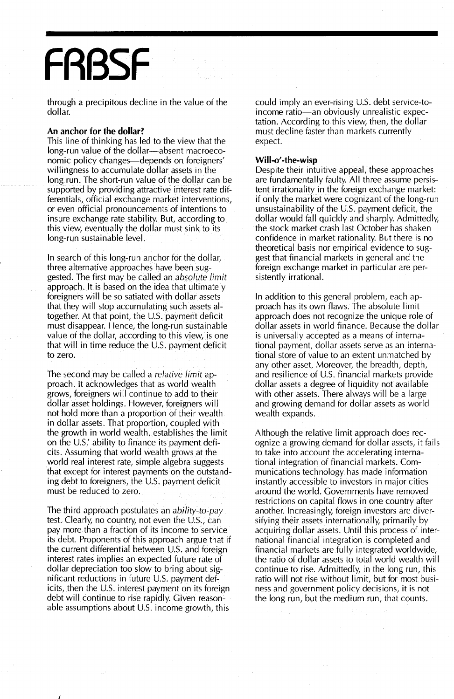## **FRBSF**

through a precipitous decline in the value of the dollar.

#### **An anchor for the dollar?**

This line of thinking has led to the view that the long-run value of the dollar-absent macroeconomic policy changes—depends on foreigners' willingness to accumulate dollar assets in the long run. The short-run value of the dollar can be supported by providing attractive interest rate differentials, official exchange market interventions, or even official pronouncements of intentions to insure exchange rate stability. But, according to this view, eventually the dollar must sink to its long-run sustainable level.

In search of this long-run anchor for the dollar, three alternative approaches have been suggested. The first may be called an *absolute limit* approach. It is based on the idea that ultimately foreigners will be so satiated with dollar assets that they will stop accumulating such assets altogether. At that point, the U.s. payment deficit must disappear. Hence, the long-run sustainable value of the dollar, according to this view, is one that will in time reduce the U.S. payment deficit to zero.

The second may be called a *relative limit* approach. It acknowledges that as world wealth grows, foreigners will continue to add to their dollar asset holdings. However, foreigners will not hold more than a proportion of their wealth in dollar assets. That proportion, coupled with the growth in world wealth, establishes the limit on the U.S.' ability to finance its payment deficits. Assuming that world wealth grows at the world real interest rate, simple algebra suggests that except for interest payments on the outstanding debt to foreigners, the U.S. payment deficit must be reduced to zero.

The third approach postulates an *ability-to-pay* test. Clearly, no country, not even the U.s., can pay more than a fraction of its income to service its debt. Proponents of this approach argue that if the current differential between U.S. and foreign interest rates implies an expected future rate of dollar depreciation too slow to bring about significant reductions in future U.S. payment deficits, then the U.s. interest payment on its foreign debt will continue to rise rapidly. Given reasonable assumptions about U.S. income growth, this

J

could imply an ever-rising U.s. debt service-toincome ratio-an obviously unrealistic expectation. According to this view, then, the dollar must decline faster than markets currently expect.

#### WiII-o'**-the-wisp**

Despite their intuitive appeal, these approaches are fundamentally faulty. All three assume persistent irrationality in the foreign exchange market: if only the market were cognizant of the long-run unsustainability of the U.S. payment deficit, the dollar would fall quickly and sharply. Admittedly, the stock market crash last October has shaken confidence in market rationality. But there is no theoretical basis nor empirical evidence to suggest that financial markets in general and the foreign exchange market in particular are persistently irrational.

In addition to this general problem, each approach has its own flaws. The absolute limit approach does not recognize the unique role of dollar assets in world finance. Because the dollar is universally accepted as a means of international payment, dollar assets serve as an international store of value to an extent unmatched by any other asset. Moreover, the breadth, depth, and resilience of U.S. financial markets provide dollar assets a degree of liquidity not available with other assets. There always will be a large and growing demand for dollar assets as world wealth expands.

Although the relative limit approach does recognize a growing demand for dollar assets, it fails to take into account the accelerating international integration of financial markets. Communications technology has made information instantly accessible to investors in major cities around the world. Governments have removed restrictions on capital flows in one country after another. Increasingly, foreign investors are diversifying their assets internationally, primarily by acquiring dollar assets. Until this process of international financial integration is completed and financial markets are fully integrated worldwide, the ratio of dollar assets to total world wealth will continue to rise. Admittedly, in the long run, this ratio will not rise without limit, but for most business and government policy decisions, it is not the long run, but the medium run, that counts.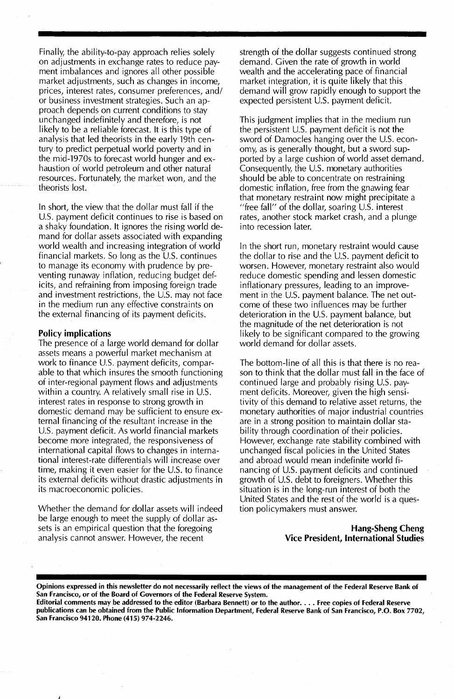Finally, the ability-to-pay approach relies solely on adjustments in exchange rates to reduce payment imbalances and ignores all other possible market adjustments, such as changes in income, prices, interest rates, consumer preferences, and/ or business investment strategies. Such an approach depends on current conditions to stay unchanged indefinitely and therefore, is not likely to be a reliable forecast. It is this type of analysis that led theorists in the early 19th century to predict perpetual world poverty and in the mid-1970s to forecast world hunger and exhaustion of world petroleum and other natural resources. Fortunately, the market won, and the theorists lost.

In short, the view that the dollar must fall if the U.S. payment deficit continues to rise is based on a shaky foundation. It ignores the rising world demand for dollar assets associated with expanding world wealth and increasing integration of world financial markets. So long as the U.S. continues to manage its economy with prudence by preventing runaway inflation, reducing budget deficits, and refraining from imposing foreign trade and investment restrictions, the U.S. may not face in the medium run any effective constraints on the external financing of its payment deficits.

#### Policy implications

The presence of a large world demand for dollar assets means a powerful market mechanism at work to finance U.S. payment deficits, comparable to that which insures the smooth functioning of inter-regional payment flows and adjustments within a country. A relatively small rise in U.S. interest rates in response to strong growth in domestic demand may be sufficient to ensure external financing of the resultant increase in the U.S. payment deficit. As world financial markets become more integrated, the responsiveness of international capital flows to changes in international interest-rate differentials will increase over time, making it even easier for the U.S. to finance its external deficits without drastic adjustments in its macroeconomic policies.

Whether the demand for dollar assets will indeed be large enough to meet the supply of dollar assets is an empirical question that the foregoing analysis cannot answer. However, the recent

strength of the dollar suggests continued strong demand. Given the rate of growth in world wealth and the accelerating pace of financial market integration, it is quite likely that this demand will grow rapidly enough to support the expected persistent U.s. payment deficit.

This judgment implies that in the medium run the persistent U.S. payment deficit is not the sword of Damocles hanging over the U.S. economy, as is generally thought, but a sword supported by a large cushion of world asset demand. Consequently, the U.S. monetary authorities should be able to concentrate on restraining domestic inflation, free from the gnawing fear that monetary restraint now might precipitate a "free fall" of the dollar, soaring U.s. interest rates, another stock market crash, and a plunge into recession later.

In the short run, monetary restraint would cause the dollar to rise and the U.S. payment deficit to worsen. However, monetary restraint also would reduce domestic spending and lessen domestic inflationary pressures, leading to an improvement in the U.S. payment balance. The net outcome of these two influences may be further deterioration in the U.S. payment balance, but the magnitude of the net deterioration is not likely to be significant compared to the growing world demand for dollar assets.

The bottom-line of all this is that there is no reason to think that the dollar must fall in the face of continued large and probably rising U.s. payment deficits. Moreover, given the high sensitivity of this demand to relative asset returns, the monetary authorities of major industrial countries are in a strong position to maintain dollar stability through coordination of their policies. However, exchange rate stability combined with unchanged fiscal policies in the United States and abroad would mean indefinite world financing of U.S. payment deficits and continued growth of U.S. debt to foreigners. Whether this situation is in the long-run interest of both the United States and the rest of the world is a question policymakers must answer.

#### Hang-Sheng Cheng Vice President, International Studies

Opinions expressed in this newsletter do not necessarily reflect the views of the management of the Federal Reserve Bank of San Francisco, or of the Board of Governors of the Federal Reserve System.

Editorial comments may be addressed to the editor (Barbara Bennett) or to the author.... Free copies of Federal Reserve publications can be obtained from the Public Information Department, Federal Reserve Bank of San Francisco, P.O. Box 7702, San Francisco 94120. Phone (415) 974-2246.